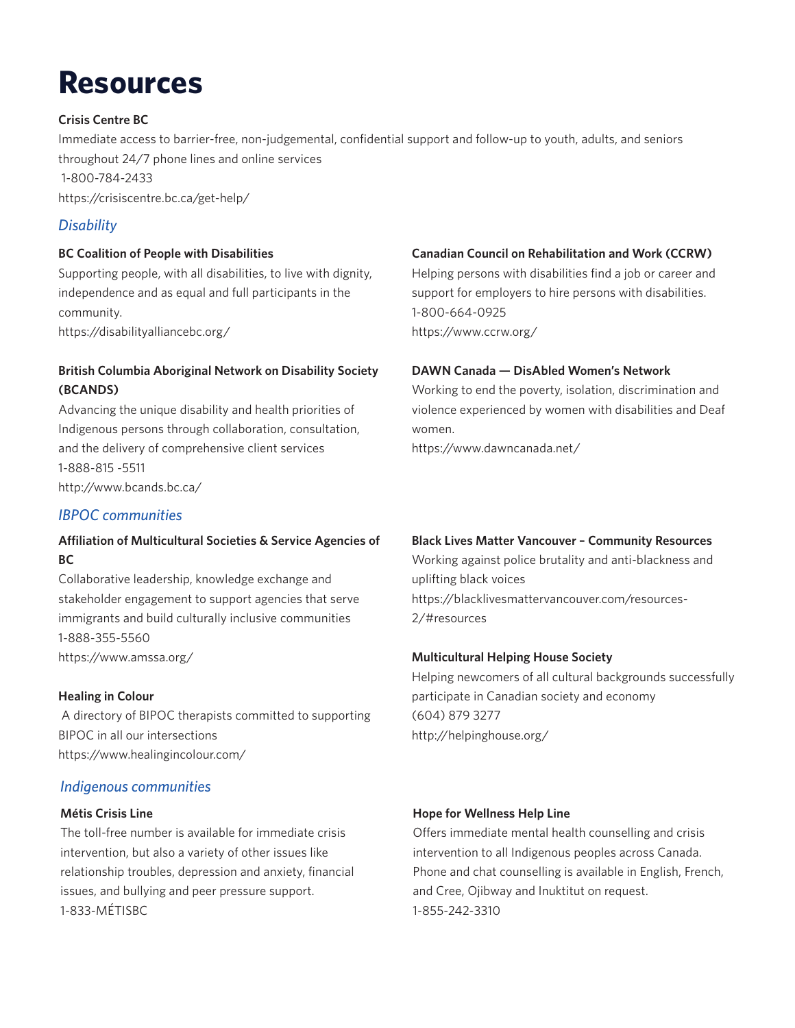# **Resources**

## **Crisis Centre BC**

Immediate access to barrier-free, non-judgemental, confidential support and follow-up to youth, adults, and seniors throughout 24/7 phone lines and online services 1-800-784-2433 https://crisiscentre.bc.ca/get-help/

# *Disability*

#### **BC Coalition of People with Disabilities**

Supporting people, with all disabilities, to live with dignity, independence and as equal and full participants in the community.

https://disabilityalliancebc.org/

# **British Columbia Aboriginal Network on Disability Society (BCANDS)**

Advancing the unique disability and health priorities of Indigenous persons through collaboration, consultation, and the delivery of comprehensive client services 1-888-815 -5511 http://www.bcands.bc.ca/

# *IBPOC communities*

# **Affiliation of Multicultural Societies & Service Agencies of BC**

Collaborative leadership, knowledge exchange and stakeholder engagement to support agencies that serve immigrants and build culturally inclusive communities 1-888-355-5560 https://www.amssa.org/

#### **Healing in Colour**

 A directory of BIPOC therapists committed to supporting BIPOC in all our intersections https://www.healingincolour.com/

# *Indigenous communities*

# **Métis Crisis Line**

The toll-free number is available for immediate crisis intervention, but also a variety of other issues like relationship troubles, depression and anxiety, financial issues, and bullying and peer pressure support. 1-833-MÉTISBC

# **Canadian Council on Rehabilitation and Work (CCRW)**

Helping persons with disabilities find a job or career and support for employers to hire persons with disabilities. 1-800-664-0925 https://www.ccrw.org/

#### **DAWN Canada — DisAbled Women's Network**

Working to end the poverty, isolation, discrimination and violence experienced by women with disabilities and Deaf women. https://www.dawncanada.net/

#### **Black Lives Matter Vancouver – Community Resources**

Working against police brutality and anti-blackness and uplifting black voices https://blacklivesmattervancouver.com/resources-2/#resources

#### **Multicultural Helping House Society**

Helping newcomers of all cultural backgrounds successfully participate in Canadian society and economy (604) 879 3277 http://helpinghouse.org/

#### **Hope for Wellness Help Line**

Offers immediate mental health counselling and crisis intervention to all Indigenous peoples across Canada. Phone and chat counselling is available in English, French, and Cree, Ojibway and Inuktitut on request. 1-855-242-3310